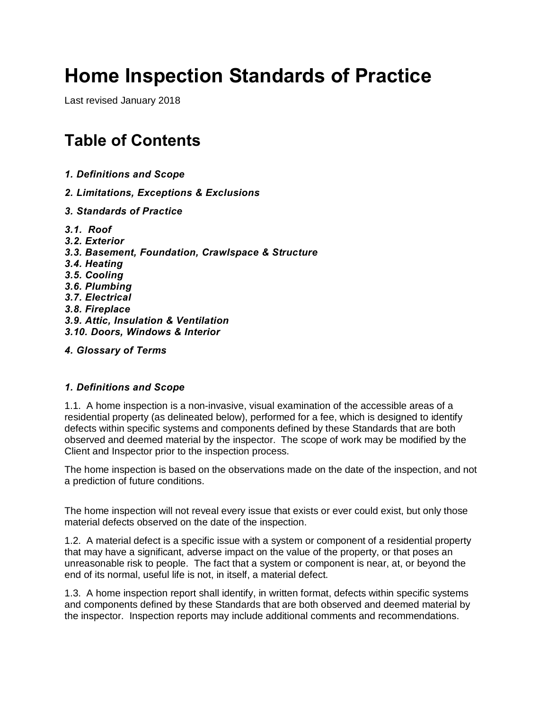# **Home Inspection Standards of Practice**

Last revised January 2018

## **Table of Contents**

- *1. Definitions and Scope*
- *2. Limitations, Exceptions & Exclusions*
- *3. Standards of Practice*
- *3.1. Roof 3.2. Exterior 3.3. Basement, Foundation, Crawlspace & Structure 3.4. Heating 3.5. Cooling 3.6. Plumbing 3.7. Electrical 3.8. Fireplace 3.9. Attic, Insulation & Ventilation 3.10. Doors, Windows & Interior 4. Glossary of Terms*

#### *1. Definitions and Scope*

1.1. A home inspection is a non-invasive, visual examination of the accessible areas of a residential property (as delineated below), performed for a fee, which is designed to identify defects within specific systems and components defined by these Standards that are both observed and deemed material by the inspector. The scope of work may be modified by the Client and Inspector prior to the inspection process.

The home inspection is based on the observations made on the date of the inspection, and not a prediction of future conditions.

The home inspection will not reveal every issue that exists or ever could exist, but only those material defects observed on the date of the inspection.

1.2. A material defect is a specific issue with a system or component of a residential property that may have a significant, adverse impact on the value of the property, or that poses an unreasonable risk to people. The fact that a system or component is near, at, or beyond the end of its normal, useful life is not, in itself, a material defect.

1.3. A home inspection report shall identify, in written format, defects within specific systems and components defined by these Standards that are both observed and deemed material by the inspector. Inspection reports may include additional comments and recommendations.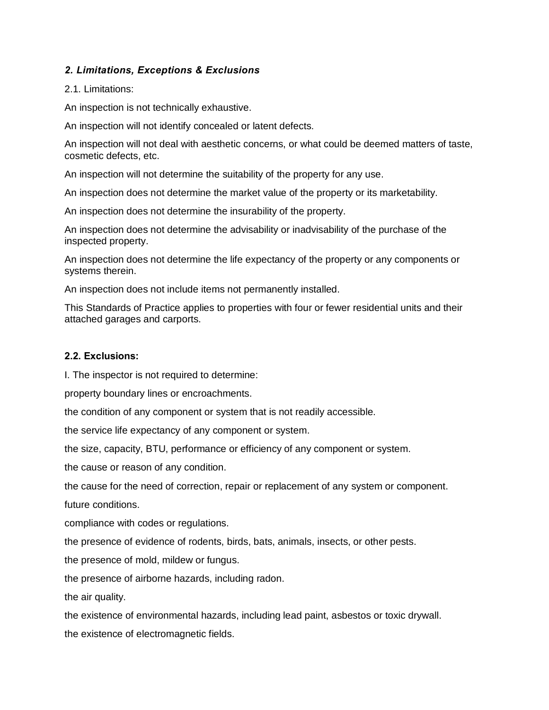#### *2. Limitations, Exceptions & Exclusions*

#### 2.1. Limitations:

An inspection is not technically exhaustive.

An inspection will not identify concealed or latent defects.

An inspection will not deal with aesthetic concerns, or what could be deemed matters of taste, cosmetic defects, etc.

An inspection will not determine the suitability of the property for any use.

An inspection does not determine the market value of the property or its marketability.

An inspection does not determine the insurability of the property.

An inspection does not determine the advisability or inadvisability of the purchase of the inspected property.

An inspection does not determine the life expectancy of the property or any components or systems therein.

An inspection does not include items not permanently installed.

This Standards of Practice applies to properties with four or fewer residential units and their attached garages and carports.

#### **2.2. Exclusions:**

I. The inspector is not required to determine:

property boundary lines or encroachments.

the condition of any component or system that is not readily accessible.

the service life expectancy of any component or system.

the size, capacity, BTU, performance or efficiency of any component or system.

the cause or reason of any condition.

the cause for the need of correction, repair or replacement of any system or component.

future conditions.

compliance with codes or regulations.

the presence of evidence of rodents, birds, bats, animals, insects, or other pests.

the presence of mold, mildew or fungus.

the presence of airborne hazards, including radon.

the air quality.

the existence of environmental hazards, including lead paint, asbestos or toxic drywall. the existence of electromagnetic fields.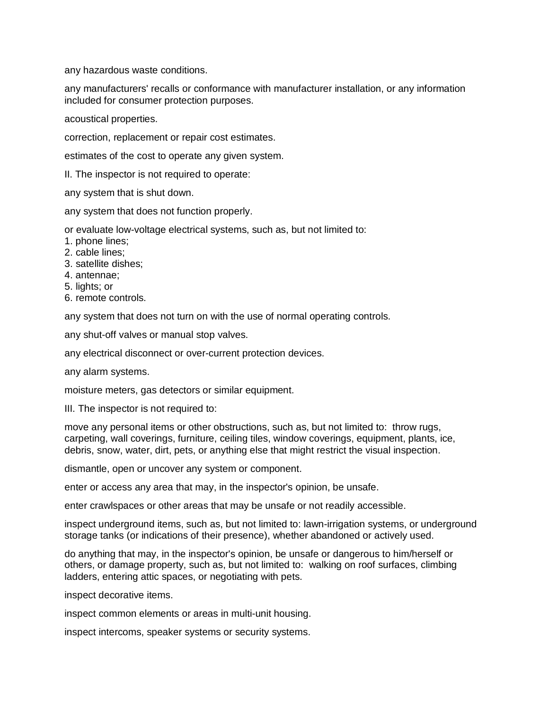any hazardous waste conditions.

any manufacturers' recalls or conformance with manufacturer installation, or any information included for consumer protection purposes.

acoustical properties.

correction, replacement or repair cost estimates.

estimates of the cost to operate any given system.

II. The inspector is not required to operate:

any system that is shut down.

any system that does not function properly.

or evaluate low-voltage electrical systems, such as, but not limited to:

- 1. phone lines;
- 2. cable lines;
- 3. satellite dishes;
- 4. antennae;
- 5. lights; or
- 6. remote controls.

any system that does not turn on with the use of normal operating controls.

any shut-off valves or manual stop valves.

any electrical disconnect or over-current protection devices.

any alarm systems.

moisture meters, gas detectors or similar equipment.

III. The inspector is not required to:

move any personal items or other obstructions, such as, but not limited to: throw rugs, carpeting, wall coverings, furniture, ceiling tiles, window coverings, equipment, plants, ice, debris, snow, water, dirt, pets, or anything else that might restrict the visual inspection.

dismantle, open or uncover any system or component.

enter or access any area that may, in the inspector's opinion, be unsafe.

enter crawlspaces or other areas that may be unsafe or not readily accessible.

inspect underground items, such as, but not limited to: lawn-irrigation systems, or underground storage tanks (or indications of their presence), whether abandoned or actively used.

do anything that may, in the inspector's opinion, be unsafe or dangerous to him/herself or others, or damage property, such as, but not limited to: walking on roof surfaces, climbing ladders, entering attic spaces, or negotiating with pets.

inspect decorative items.

inspect common elements or areas in multi-unit housing.

inspect intercoms, speaker systems or security systems.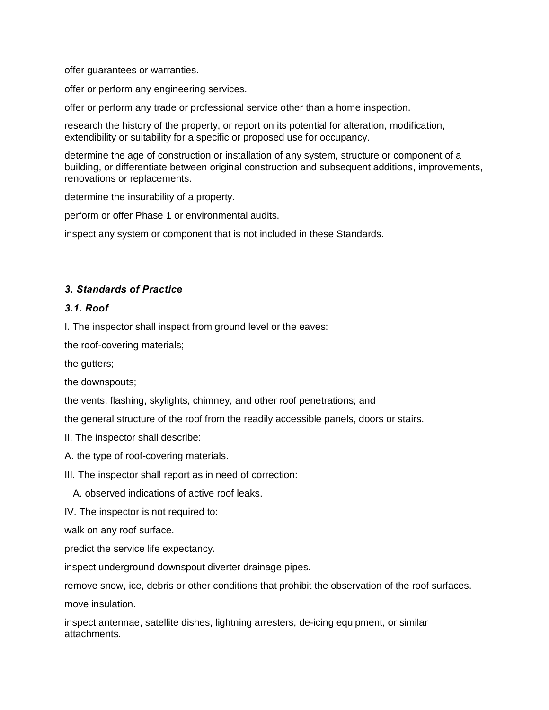offer guarantees or warranties.

offer or perform any engineering services.

offer or perform any trade or professional service other than a home inspection.

research the history of the property, or report on its potential for alteration, modification, extendibility or suitability for a specific or proposed use for occupancy.

determine the age of construction or installation of any system, structure or component of a building, or differentiate between original construction and subsequent additions, improvements, renovations or replacements.

determine the insurability of a property.

perform or offer Phase 1 or environmental audits.

inspect any system or component that is not included in these Standards.

#### *3. Standards of Practice*

#### *3.1. Roof*

I. The inspector shall inspect from ground level or the eaves:

the roof-covering materials;

the gutters;

the downspouts;

the vents, flashing, skylights, chimney, and other roof penetrations; and

the general structure of the roof from the readily accessible panels, doors or stairs.

- II. The inspector shall describe:
- A. the type of roof-covering materials.
- III. The inspector shall report as in need of correction:
	- A. observed indications of active roof leaks.

IV. The inspector is not required to:

walk on any roof surface.

predict the service life expectancy.

inspect underground downspout diverter drainage pipes.

remove snow, ice, debris or other conditions that prohibit the observation of the roof surfaces.

move insulation.

inspect antennae, satellite dishes, lightning arresters, de-icing equipment, or similar attachments.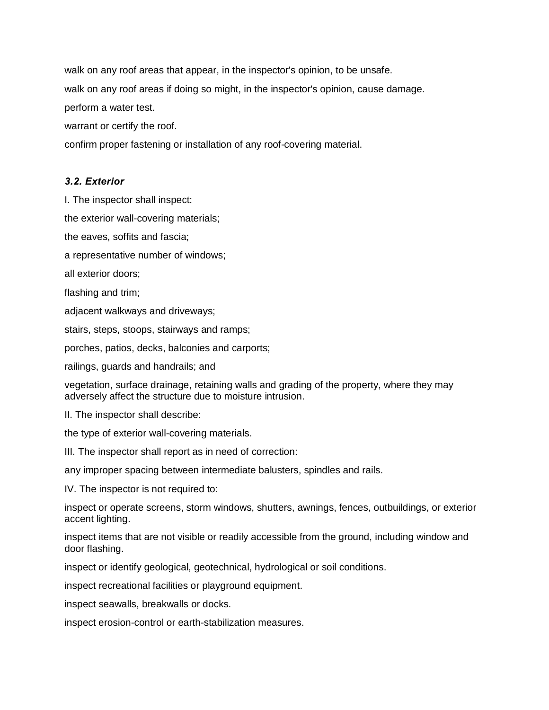walk on any roof areas that appear, in the inspector's opinion, to be unsafe.

walk on any roof areas if doing so might, in the inspector's opinion, cause damage.

perform a water test.

warrant or certify the roof.

confirm proper fastening or installation of any roof-covering material.

#### *3.2. Exterior*

I. The inspector shall inspect:

the exterior wall-covering materials;

the eaves, soffits and fascia;

a representative number of windows;

all exterior doors;

flashing and trim;

adjacent walkways and driveways;

stairs, steps, stoops, stairways and ramps;

porches, patios, decks, balconies and carports;

railings, guards and handrails; and

vegetation, surface drainage, retaining walls and grading of the property, where they may adversely affect the structure due to moisture intrusion.

II. The inspector shall describe:

the type of exterior wall-covering materials.

III. The inspector shall report as in need of correction:

any improper spacing between intermediate balusters, spindles and rails.

IV. The inspector is not required to:

inspect or operate screens, storm windows, shutters, awnings, fences, outbuildings, or exterior accent lighting.

inspect items that are not visible or readily accessible from the ground, including window and door flashing.

inspect or identify geological, geotechnical, hydrological or soil conditions.

inspect recreational facilities or playground equipment.

inspect seawalls, breakwalls or docks.

inspect erosion-control or earth-stabilization measures.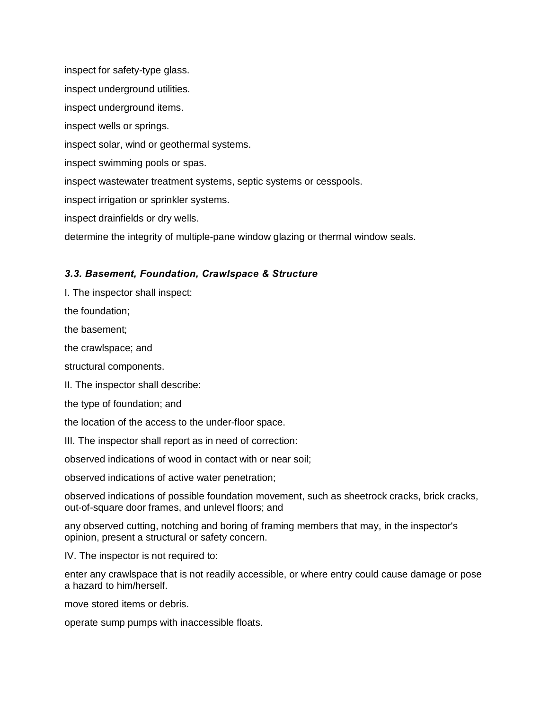inspect for safety-type glass. inspect underground utilities. inspect underground items. inspect wells or springs. inspect solar, wind or geothermal systems. inspect swimming pools or spas. inspect wastewater treatment systems, septic systems or cesspools. inspect irrigation or sprinkler systems. inspect drainfields or dry wells. determine the integrity of multiple-pane window glazing or thermal window seals.

#### *3.3. Basement, Foundation, Crawlspace & Structure*

I. The inspector shall inspect:

the foundation;

the basement;

the crawlspace; and

structural components.

II. The inspector shall describe:

the type of foundation; and

the location of the access to the under-floor space.

III. The inspector shall report as in need of correction:

observed indications of wood in contact with or near soil;

observed indications of active water penetration;

observed indications of possible foundation movement, such as sheetrock cracks, brick cracks, out-of-square door frames, and unlevel floors; and

any observed cutting, notching and boring of framing members that may, in the inspector's opinion, present a structural or safety concern.

IV. The inspector is not required to:

enter any crawlspace that is not readily accessible, or where entry could cause damage or pose a hazard to him/herself.

move stored items or debris.

operate sump pumps with inaccessible floats.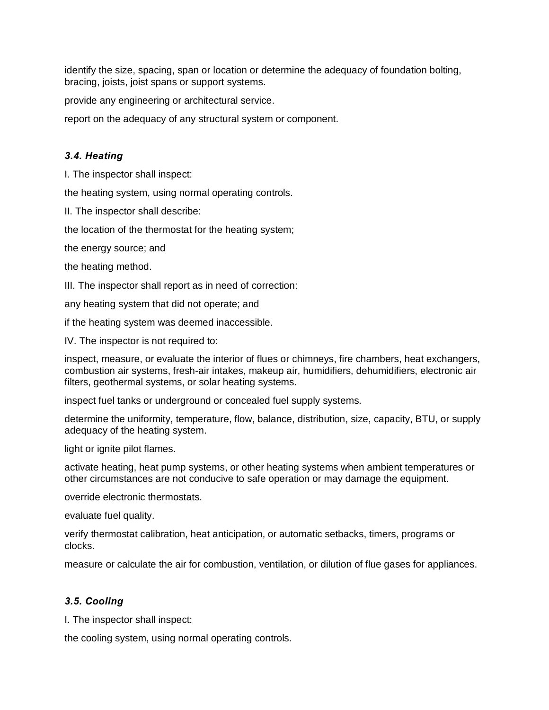identify the size, spacing, span or location or determine the adequacy of foundation bolting, bracing, joists, joist spans or support systems.

provide any engineering or architectural service.

report on the adequacy of any structural system or component.

#### *3.4. Heating*

I. The inspector shall inspect:

the heating system, using normal operating controls.

II. The inspector shall describe:

the location of the thermostat for the heating system;

the energy source; and

the heating method.

III. The inspector shall report as in need of correction:

any heating system that did not operate; and

if the heating system was deemed inaccessible.

IV. The inspector is not required to:

inspect, measure, or evaluate the interior of flues or chimneys, fire chambers, heat exchangers, combustion air systems, fresh-air intakes, makeup air, humidifiers, dehumidifiers, electronic air filters, geothermal systems, or solar heating systems.

inspect fuel tanks or underground or concealed fuel supply systems.

determine the uniformity, temperature, flow, balance, distribution, size, capacity, BTU, or supply adequacy of the heating system.

light or ignite pilot flames.

activate heating, heat pump systems, or other heating systems when ambient temperatures or other circumstances are not conducive to safe operation or may damage the equipment.

override electronic thermostats.

evaluate fuel quality.

verify thermostat calibration, heat anticipation, or automatic setbacks, timers, programs or clocks.

measure or calculate the air for combustion, ventilation, or dilution of flue gases for appliances.

#### *3.5. Cooling*

I. The inspector shall inspect:

the cooling system, using normal operating controls.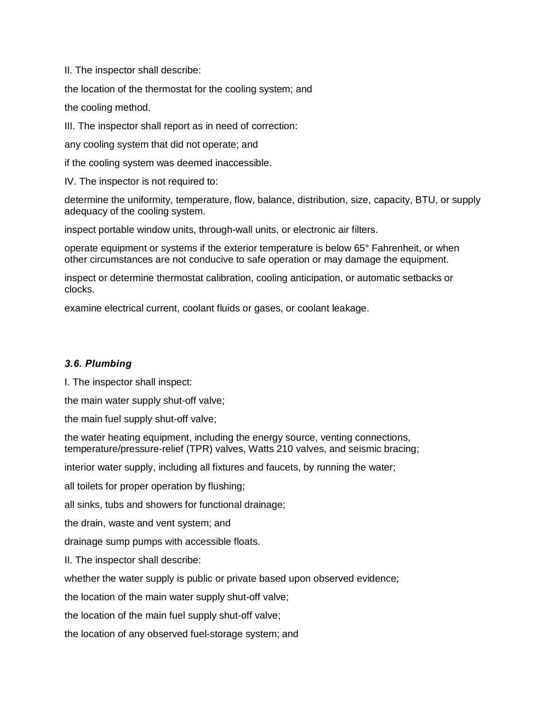II. The inspector shall describe:

the location of the thermostat for the cooling system; and

the cooling method.

III. The inspector shall report as in need of correction:

any cooling system that did not operate; and

if the cooling system was deemed inaccessible.

IV. The inspector is not required to:

determine the uniformity, temperature, flow, balance, distribution, size, capacity, BTU, or supply adequacy of the cooling system.

inspect portable window units, through-wall units, or electronic air filters.

operate equipment or systems if the exterior temperature is below 65° Fahrenheit, or when other circumstances are not conducive to safe operation or may damage the equipment.

inspect or determine thermostat calibration, cooling anticipation, or automatic setbacks or clocks.

examine electrical current, coolant fluids or gases, or coolant leakage.

#### *3.6. Plumbing*

I. The inspector shall inspect:

the main water supply shut-off valve;

the main fuel supply shut-off valve;

the water heating equipment, including the energy source, venting connections, temperature/pressure-relief (TPR) valves, Watts 210 valves, and seismic bracing;

interior water supply, including all fixtures and faucets, by running the water;

all toilets for proper operation by flushing;

all sinks, tubs and showers for functional drainage;

the drain, waste and vent system; and

drainage sump pumps with accessible floats.

II. The inspector shall describe:

whether the water supply is public or private based upon observed evidence;

the location of the main water supply shut-off valve;

the location of the main fuel supply shut-off valve;

the location of any observed fuel-storage system; and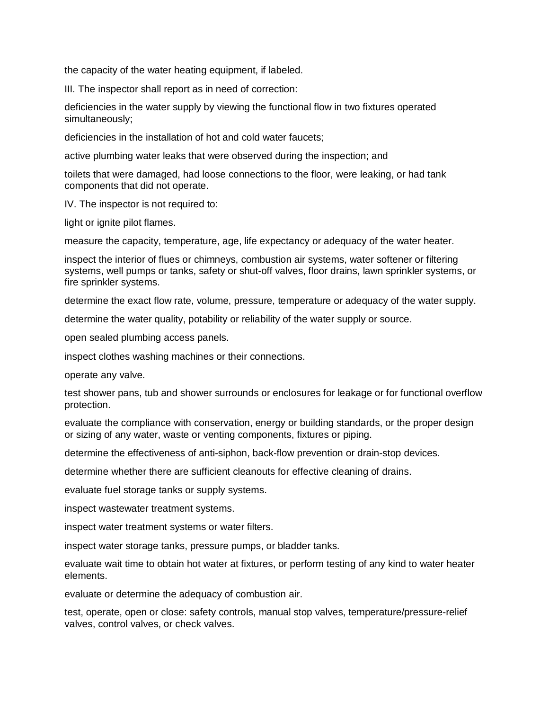the capacity of the water heating equipment, if labeled.

III. The inspector shall report as in need of correction:

deficiencies in the water supply by viewing the functional flow in two fixtures operated simultaneously;

deficiencies in the installation of hot and cold water faucets;

active plumbing water leaks that were observed during the inspection; and

toilets that were damaged, had loose connections to the floor, were leaking, or had tank components that did not operate.

IV. The inspector is not required to:

light or ignite pilot flames.

measure the capacity, temperature, age, life expectancy or adequacy of the water heater.

inspect the interior of flues or chimneys, combustion air systems, water softener or filtering systems, well pumps or tanks, safety or shut-off valves, floor drains, lawn sprinkler systems, or fire sprinkler systems.

determine the exact flow rate, volume, pressure, temperature or adequacy of the water supply.

determine the water quality, potability or reliability of the water supply or source.

open sealed plumbing access panels.

inspect clothes washing machines or their connections.

operate any valve.

test shower pans, tub and shower surrounds or enclosures for leakage or for functional overflow protection.

evaluate the compliance with conservation, energy or building standards, or the proper design or sizing of any water, waste or venting components, fixtures or piping.

determine the effectiveness of anti-siphon, back-flow prevention or drain-stop devices.

determine whether there are sufficient cleanouts for effective cleaning of drains.

evaluate fuel storage tanks or supply systems.

inspect wastewater treatment systems.

inspect water treatment systems or water filters.

inspect water storage tanks, pressure pumps, or bladder tanks.

evaluate wait time to obtain hot water at fixtures, or perform testing of any kind to water heater elements.

evaluate or determine the adequacy of combustion air.

test, operate, open or close: safety controls, manual stop valves, temperature/pressure-relief valves, control valves, or check valves.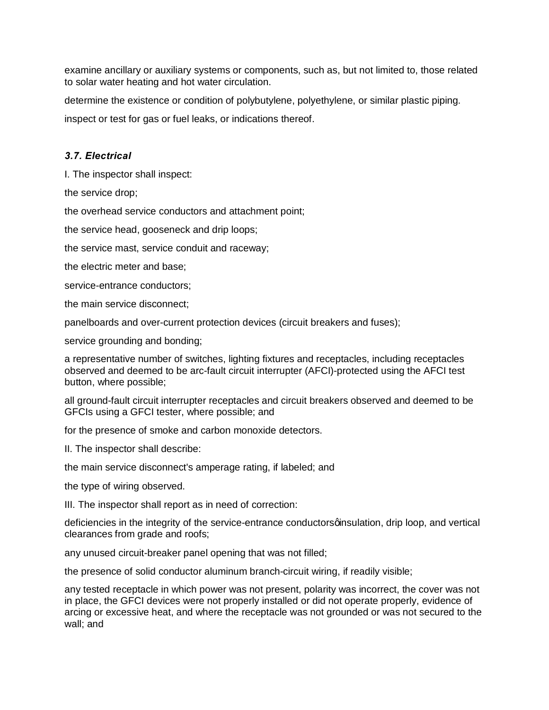examine ancillary or auxiliary systems or components, such as, but not limited to, those related to solar water heating and hot water circulation.

determine the existence or condition of polybutylene, polyethylene, or similar plastic piping.

inspect or test for gas or fuel leaks, or indications thereof.

### *3.7. Electrical*

I. The inspector shall inspect:

the service drop;

the overhead service conductors and attachment point;

the service head, gooseneck and drip loops;

the service mast, service conduit and raceway;

the electric meter and base;

service-entrance conductors;

the main service disconnect;

panelboards and over-current protection devices (circuit breakers and fuses);

service grounding and bonding;

a representative number of switches, lighting fixtures and receptacles, including receptacles observed and deemed to be arc-fault circuit interrupter (AFCI)-protected using the AFCI test button, where possible;

all ground-fault circuit interrupter receptacles and circuit breakers observed and deemed to be GFCIs using a GFCI tester, where possible; and

for the presence of smoke and carbon monoxide detectors.

II. The inspector shall describe:

the main service disconnect's amperage rating, if labeled; and

the type of wiring observed.

III. The inspector shall report as in need of correction:

deficiencies in the integrity of the service-entrance conductorsqinsulation, drip loop, and vertical clearances from grade and roofs;

any unused circuit-breaker panel opening that was not filled;

the presence of solid conductor aluminum branch-circuit wiring, if readily visible;

any tested receptacle in which power was not present, polarity was incorrect, the cover was not in place, the GFCI devices were not properly installed or did not operate properly, evidence of arcing or excessive heat, and where the receptacle was not grounded or was not secured to the wall; and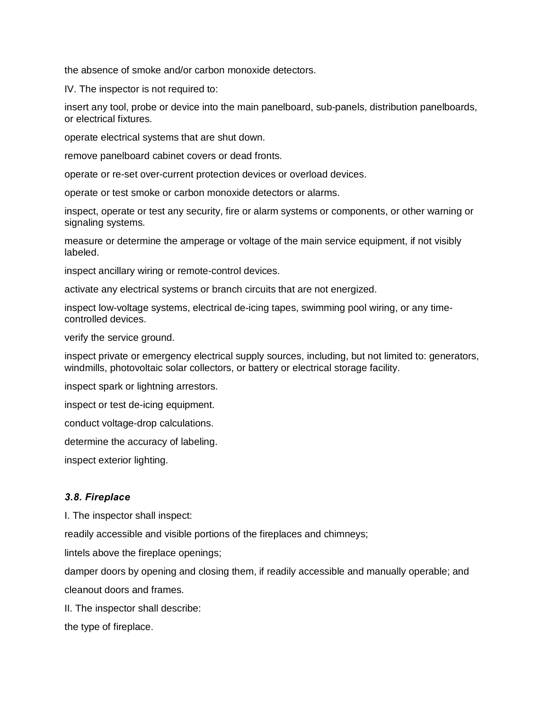the absence of smoke and/or carbon monoxide detectors.

IV. The inspector is not required to:

insert any tool, probe or device into the main panelboard, sub-panels, distribution panelboards, or electrical fixtures.

operate electrical systems that are shut down.

remove panelboard cabinet covers or dead fronts.

operate or re-set over-current protection devices or overload devices.

operate or test smoke or carbon monoxide detectors or alarms.

inspect, operate or test any security, fire or alarm systems or components, or other warning or signaling systems.

measure or determine the amperage or voltage of the main service equipment, if not visibly labeled.

inspect ancillary wiring or remote-control devices.

activate any electrical systems or branch circuits that are not energized.

inspect low-voltage systems, electrical de-icing tapes, swimming pool wiring, or any timecontrolled devices.

verify the service ground.

inspect private or emergency electrical supply sources, including, but not limited to: generators, windmills, photovoltaic solar collectors, or battery or electrical storage facility.

inspect spark or lightning arrestors.

inspect or test de-icing equipment.

conduct voltage-drop calculations.

determine the accuracy of labeling.

inspect exterior lighting.

#### *3.8. Fireplace*

I. The inspector shall inspect:

readily accessible and visible portions of the fireplaces and chimneys;

lintels above the fireplace openings;

damper doors by opening and closing them, if readily accessible and manually operable; and cleanout doors and frames.

II. The inspector shall describe:

the type of fireplace.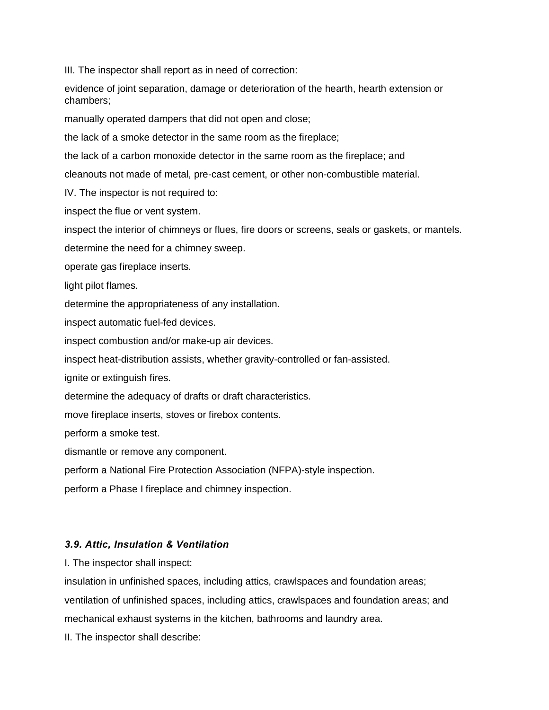III. The inspector shall report as in need of correction:

evidence of joint separation, damage or deterioration of the hearth, hearth extension or chambers;

manually operated dampers that did not open and close;

the lack of a smoke detector in the same room as the fireplace;

the lack of a carbon monoxide detector in the same room as the fireplace; and

cleanouts not made of metal, pre-cast cement, or other non-combustible material.

IV. The inspector is not required to:

inspect the flue or vent system.

inspect the interior of chimneys or flues, fire doors or screens, seals or gaskets, or mantels.

determine the need for a chimney sweep.

operate gas fireplace inserts.

light pilot flames.

determine the appropriateness of any installation.

inspect automatic fuel-fed devices.

inspect combustion and/or make-up air devices.

inspect heat-distribution assists, whether gravity-controlled or fan-assisted.

ignite or extinguish fires.

determine the adequacy of drafts or draft characteristics.

move fireplace inserts, stoves or firebox contents.

perform a smoke test.

dismantle or remove any component.

perform a National Fire Protection Association (NFPA)-style inspection.

perform a Phase I fireplace and chimney inspection.

#### *3.9. Attic, Insulation & Ventilation*

I. The inspector shall inspect:

insulation in unfinished spaces, including attics, crawlspaces and foundation areas;

ventilation of unfinished spaces, including attics, crawlspaces and foundation areas; and

mechanical exhaust systems in the kitchen, bathrooms and laundry area.

II. The inspector shall describe: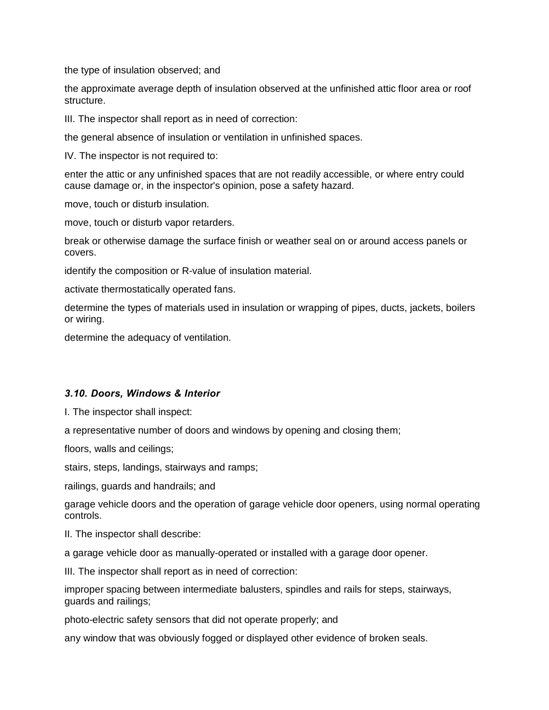the type of insulation observed; and

the approximate average depth of insulation observed at the unfinished attic floor area or roof structure.

III. The inspector shall report as in need of correction:

the general absence of insulation or ventilation in unfinished spaces.

IV. The inspector is not required to:

enter the attic or any unfinished spaces that are not readily accessible, or where entry could cause damage or, in the inspector's opinion, pose a safety hazard.

move, touch or disturb insulation.

move, touch or disturb vapor retarders.

break or otherwise damage the surface finish or weather seal on or around access panels or covers.

identify the composition or R-value of insulation material.

activate thermostatically operated fans.

determine the types of materials used in insulation or wrapping of pipes, ducts, jackets, boilers or wiring.

determine the adequacy of ventilation.

#### *3.10. Doors, Windows & Interior*

I. The inspector shall inspect:

a representative number of doors and windows by opening and closing them;

floors, walls and ceilings;

stairs, steps, landings, stairways and ramps;

railings, guards and handrails; and

garage vehicle doors and the operation of garage vehicle door openers, using normal operating controls.

II. The inspector shall describe:

a garage vehicle door as manually-operated or installed with a garage door opener.

III. The inspector shall report as in need of correction:

improper spacing between intermediate balusters, spindles and rails for steps, stairways, guards and railings;

photo-electric safety sensors that did not operate properly; and

any window that was obviously fogged or displayed other evidence of broken seals.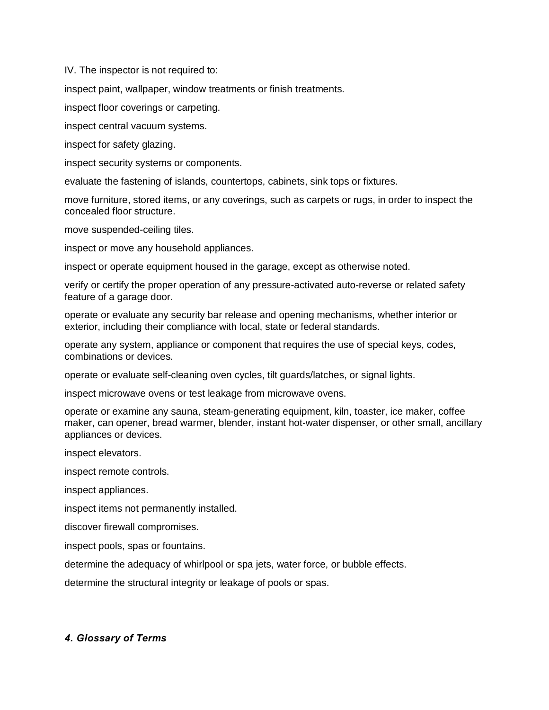IV. The inspector is not required to:

inspect paint, wallpaper, window treatments or finish treatments.

inspect floor coverings or carpeting.

inspect central vacuum systems.

inspect for safety glazing.

inspect security systems or components.

evaluate the fastening of islands, countertops, cabinets, sink tops or fixtures.

move furniture, stored items, or any coverings, such as carpets or rugs, in order to inspect the concealed floor structure.

move suspended-ceiling tiles.

inspect or move any household appliances.

inspect or operate equipment housed in the garage, except as otherwise noted.

verify or certify the proper operation of any pressure-activated auto-reverse or related safety feature of a garage door.

operate or evaluate any security bar release and opening mechanisms, whether interior or exterior, including their compliance with local, state or federal standards.

operate any system, appliance or component that requires the use of special keys, codes, combinations or devices.

operate or evaluate self-cleaning oven cycles, tilt guards/latches, or signal lights.

inspect microwave ovens or test leakage from microwave ovens.

operate or examine any sauna, steam-generating equipment, kiln, toaster, ice maker, coffee maker, can opener, bread warmer, blender, instant hot-water dispenser, or other small, ancillary appliances or devices.

inspect elevators.

inspect remote controls.

inspect appliances.

inspect items not permanently installed.

discover firewall compromises.

inspect pools, spas or fountains.

determine the adequacy of whirlpool or spa jets, water force, or bubble effects.

determine the structural integrity or leakage of pools or spas.

#### *4. Glossary of Terms*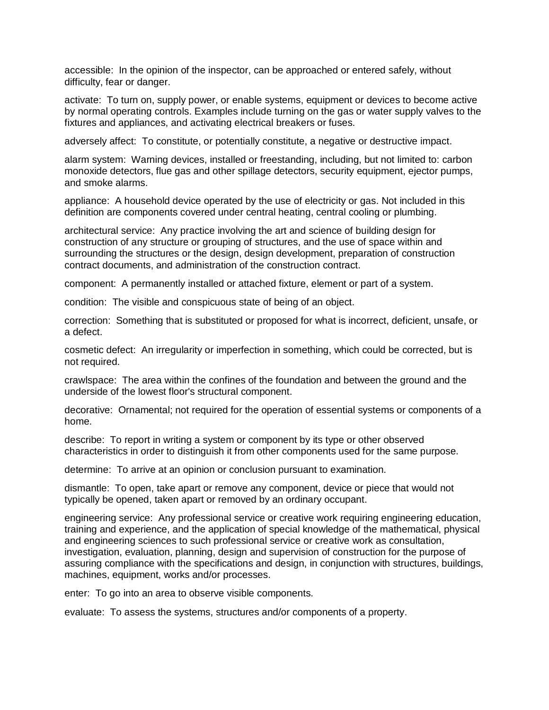accessible: In the opinion of the inspector, can be approached or entered safely, without difficulty, fear or danger.

activate: To turn on, supply power, or enable systems, equipment or devices to become active by normal operating controls. Examples include turning on the gas or water supply valves to the fixtures and appliances, and activating electrical breakers or fuses.

adversely affect: To constitute, or potentially constitute, a negative or destructive impact.

alarm system: Warning devices, installed or freestanding, including, but not limited to: carbon monoxide detectors, flue gas and other spillage detectors, security equipment, ejector pumps, and smoke alarms.

appliance: A household device operated by the use of electricity or gas. Not included in this definition are components covered under central heating, central cooling or plumbing.

architectural service: Any practice involving the art and science of building design for construction of any structure or grouping of structures, and the use of space within and surrounding the structures or the design, design development, preparation of construction contract documents, and administration of the construction contract.

component: A permanently installed or attached fixture, element or part of a system.

condition: The visible and conspicuous state of being of an object.

correction: Something that is substituted or proposed for what is incorrect, deficient, unsafe, or a defect.

cosmetic defect: An irregularity or imperfection in something, which could be corrected, but is not required.

crawlspace: The area within the confines of the foundation and between the ground and the underside of the lowest floor's structural component.

decorative: Ornamental; not required for the operation of essential systems or components of a home.

describe: To report in writing a system or component by its type or other observed characteristics in order to distinguish it from other components used for the same purpose.

determine: To arrive at an opinion or conclusion pursuant to examination.

dismantle: To open, take apart or remove any component, device or piece that would not typically be opened, taken apart or removed by an ordinary occupant.

engineering service: Any professional service or creative work requiring engineering education, training and experience, and the application of special knowledge of the mathematical, physical and engineering sciences to such professional service or creative work as consultation, investigation, evaluation, planning, design and supervision of construction for the purpose of assuring compliance with the specifications and design, in conjunction with structures, buildings, machines, equipment, works and/or processes.

enter: To go into an area to observe visible components.

evaluate: To assess the systems, structures and/or components of a property.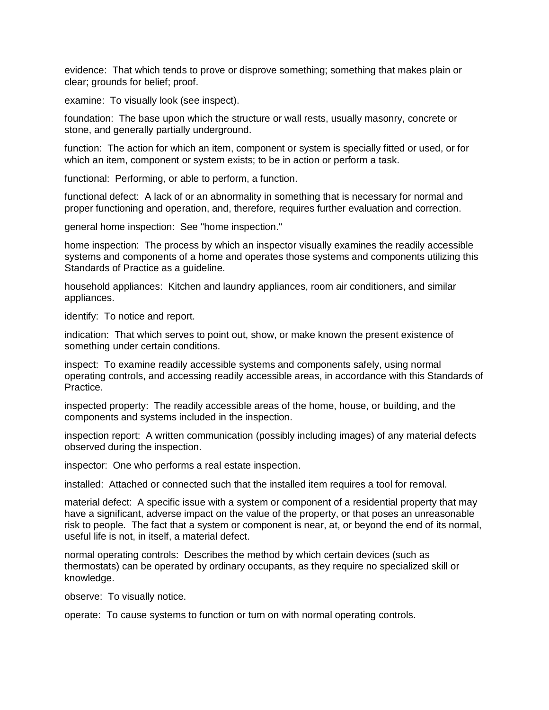evidence: That which tends to prove or disprove something; something that makes plain or clear; grounds for belief; proof.

examine: To visually look (see inspect).

foundation: The base upon which the structure or wall rests, usually masonry, concrete or stone, and generally partially underground.

function: The action for which an item, component or system is specially fitted or used, or for which an item, component or system exists; to be in action or perform a task.

functional: Performing, or able to perform, a function.

functional defect: A lack of or an abnormality in something that is necessary for normal and proper functioning and operation, and, therefore, requires further evaluation and correction.

general home inspection: See "home inspection."

home inspection: The process by which an inspector visually examines the readily accessible systems and components of a home and operates those systems and components utilizing this Standards of Practice as a guideline.

household appliances: Kitchen and laundry appliances, room air conditioners, and similar appliances.

identify: To notice and report.

indication: That which serves to point out, show, or make known the present existence of something under certain conditions.

inspect: To examine readily accessible systems and components safely, using normal operating controls, and accessing readily accessible areas, in accordance with this Standards of Practice.

inspected property: The readily accessible areas of the home, house, or building, and the components and systems included in the inspection.

inspection report: A written communication (possibly including images) of any material defects observed during the inspection.

inspector: One who performs a real estate inspection.

installed: Attached or connected such that the installed item requires a tool for removal.

material defect: A specific issue with a system or component of a residential property that may have a significant, adverse impact on the value of the property, or that poses an unreasonable risk to people. The fact that a system or component is near, at, or beyond the end of its normal, useful life is not, in itself, a material defect.

normal operating controls: Describes the method by which certain devices (such as thermostats) can be operated by ordinary occupants, as they require no specialized skill or knowledge.

observe: To visually notice.

operate: To cause systems to function or turn on with normal operating controls.